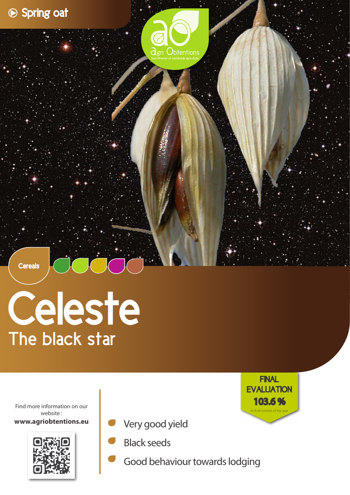

**Cereals** 

## Celeste The black star

Find more information on our website : **www.agriobtentions.eu**



- Very good yield
- Black seeds
- Good behaviour towards lodging

103.6 % **FINAL EVALUATION** in % of controls of the year